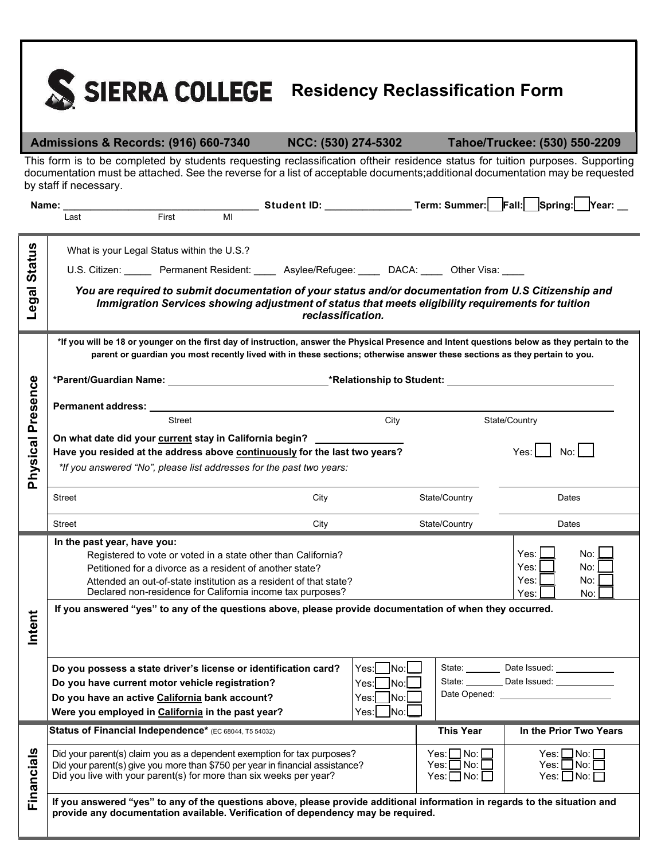

**Admissions & Records: (916) 660-7340 NCC: (530) 274-5302 Tahoe/Truckee: (530) 550-2209**

 This form is to be completed by students requesting reclassification oftheir residence status for tuition purposes. Supporting documentation must be attached. See the reverse for a list of acceptable documents;additional documentation may be requested by staff if necessary.

|                          | Name:                                                                                                                                                                                                                          |                                                                                                                                 |                                                                                                                            |                                                                 |                                                                      | Student ID: __________________Term: Summer: Fall: Spring: Year: _                                                                             |  |
|--------------------------|--------------------------------------------------------------------------------------------------------------------------------------------------------------------------------------------------------------------------------|---------------------------------------------------------------------------------------------------------------------------------|----------------------------------------------------------------------------------------------------------------------------|-----------------------------------------------------------------|----------------------------------------------------------------------|-----------------------------------------------------------------------------------------------------------------------------------------------|--|
|                          | Last                                                                                                                                                                                                                           | First<br>MI                                                                                                                     |                                                                                                                            |                                                                 |                                                                      |                                                                                                                                               |  |
|                          | What is your Legal Status within the U.S.?                                                                                                                                                                                     |                                                                                                                                 |                                                                                                                            |                                                                 |                                                                      |                                                                                                                                               |  |
| <b>Status</b>            | U.S. Citizen: Permanent Resident: _____ Asylee/Refugee: _____ DACA: _____ Other Visa: ____                                                                                                                                     |                                                                                                                                 |                                                                                                                            |                                                                 |                                                                      |                                                                                                                                               |  |
|                          |                                                                                                                                                                                                                                |                                                                                                                                 |                                                                                                                            |                                                                 |                                                                      | You are required to submit documentation of your status and/or documentation from U.S Citizenship and                                         |  |
| Legal                    |                                                                                                                                                                                                                                |                                                                                                                                 | Immigration Services showing adjustment of status that meets eligibility requirements for tuition<br>reclassification.     |                                                                 |                                                                      |                                                                                                                                               |  |
|                          |                                                                                                                                                                                                                                |                                                                                                                                 | parent or guardian you most recently lived with in these sections; otherwise answer these sections as they pertain to you. |                                                                 |                                                                      | *If you will be 18 or younger on the first day of instruction, answer the Physical Presence and Intent questions below as they pertain to the |  |
|                          |                                                                                                                                                                                                                                |                                                                                                                                 |                                                                                                                            |                                                                 |                                                                      |                                                                                                                                               |  |
|                          |                                                                                                                                                                                                                                |                                                                                                                                 |                                                                                                                            |                                                                 |                                                                      |                                                                                                                                               |  |
|                          | Street                                                                                                                                                                                                                         |                                                                                                                                 |                                                                                                                            | City                                                            | State/Country                                                        |                                                                                                                                               |  |
| <b>Physical Presence</b> | On what date did your current stay in California begin?<br>Have you resided at the address above continuously for the last two years?<br>Yes: I<br>No:<br>*If you answered "No", please list addresses for the past two years: |                                                                                                                                 |                                                                                                                            |                                                                 |                                                                      |                                                                                                                                               |  |
|                          | <b>Street</b>                                                                                                                                                                                                                  |                                                                                                                                 | City                                                                                                                       |                                                                 | State/Country                                                        | Dates                                                                                                                                         |  |
|                          | Street                                                                                                                                                                                                                         |                                                                                                                                 | City                                                                                                                       |                                                                 | State/Country                                                        | Dates                                                                                                                                         |  |
|                          | In the past year, have you:                                                                                                                                                                                                    |                                                                                                                                 |                                                                                                                            |                                                                 |                                                                      |                                                                                                                                               |  |
|                          |                                                                                                                                                                                                                                | Registered to vote or voted in a state other than California?                                                                   |                                                                                                                            |                                                                 |                                                                      | Yes:<br>No:                                                                                                                                   |  |
|                          | Petitioned for a divorce as a resident of another state?                                                                                                                                                                       |                                                                                                                                 |                                                                                                                            |                                                                 | No:<br>Yes:<br>No:<br>Yes:                                           |                                                                                                                                               |  |
|                          |                                                                                                                                                                                                                                | Attended an out-of-state institution as a resident of that state?<br>Declared non-residence for California income tax purposes? |                                                                                                                            |                                                                 | Yes:<br>No:                                                          |                                                                                                                                               |  |
| Intent                   | If you answered "yes" to any of the questions above, please provide documentation of when they occurred.                                                                                                                       |                                                                                                                                 |                                                                                                                            |                                                                 |                                                                      |                                                                                                                                               |  |
|                          | Do you possess a state driver's license or identification card?                                                                                                                                                                |                                                                                                                                 |                                                                                                                            | $Yes:$ No: $\Box$                                               |                                                                      | State: Date Issued: 2000                                                                                                                      |  |
|                          | Do you have current motor vehicle registration?                                                                                                                                                                                |                                                                                                                                 |                                                                                                                            | $\sqrt{\frac{1}{1}}$<br>Yes:                                    | State:                                                               | Date Issued:                                                                                                                                  |  |
|                          | Do you have an active California bank account?                                                                                                                                                                                 |                                                                                                                                 |                                                                                                                            | Yes:l<br>No:                                                    | Date Opened:                                                         |                                                                                                                                               |  |
|                          | Were you employed in California in the past year?                                                                                                                                                                              |                                                                                                                                 |                                                                                                                            | Mo:<br>Yes:L                                                    |                                                                      |                                                                                                                                               |  |
| <b>Financials</b>        | Status of Financial Independence* (EC 68044, T5 54032)                                                                                                                                                                         |                                                                                                                                 |                                                                                                                            |                                                                 | <b>This Year</b>                                                     | In the Prior Two Years                                                                                                                        |  |
|                          | Did your parent(s) claim you as a dependent exemption for tax purposes?<br>Did your parent(s) give you more than \$750 per year in financial assistance?<br>Did you live with your parent(s) for more than six weeks per year? |                                                                                                                                 |                                                                                                                            | $Yes: \Box No:$<br>$Yes: \Box No: \Box$<br>$Yes: \Box No: \Box$ | $Yes: \Box No: \Box$<br>$Yes: \Box No: \Box$<br>$Yes: \Box No: \Box$ |                                                                                                                                               |  |
|                          | If you answered "yes" to any of the questions above, please provide additional information in regards to the situation and<br>provide any documentation available. Verification of dependency may be required.                 |                                                                                                                                 |                                                                                                                            |                                                                 |                                                                      |                                                                                                                                               |  |